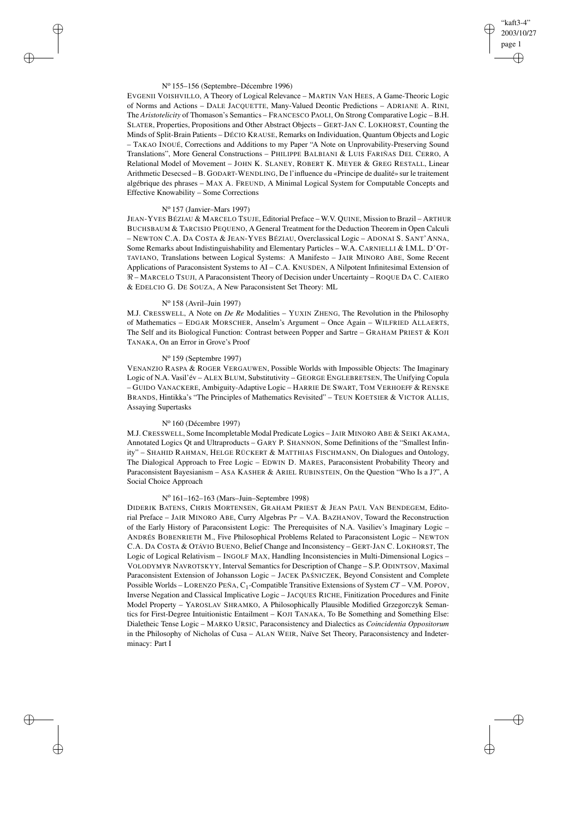# "kaft3-4" 2003/10/27 page 1 ✐ ✐

✐

✐

#### N<sup>o</sup> 155–156 (Septembre–Décembre 1996)

 $\rightarrow$ 

✐

✐

✐

EVGENII VOISHVILLO, A Theory of Logical Relevance – MARTIN VAN HEES, A Game-Theoric Logic of Norms and Actions – DALE JACQUETTE, Many-Valued Deontic Predictions – ADRIANE A. RINI, The *Aristotelicity* of Thomason's Semantics – FRANCESCO PAOLI, On Strong Comparative Logic – B.H. SLATER, Properties, Propositions and Other Abstract Objects – GERT-JAN C. LOKHORST, Counting the Minds of Split-Brain Patients – DÉCIO KRAUSE, Remarks on Individuation, Quantum Objects and Logic – TAKAO INOUÉ, Corrections and Additions to my Paper "A Note on Unprovability-Preserving Sound Translations", More General Constructions – PHILIPPE BALBIANI & LUIS FARIÑAS DEL CERRO, A Relational Model of Movement – JOHN K. SLANEY, ROBERT K. MEYER & GREG RESTALL, Linear Arithmetic Desecsed – B. GODART-WENDLING, De l'influence du «Principe de dualité» sur le traitement algébrique des phrases – MAX A. FREUND, A Minimal Logical System for Computable Concepts and Effective Knowability – Some Corrections

### N<sup>o</sup> 157 (Janvier–Mars 1997)

JEAN-YVES BÉZIAU & MARCELO TSUJE, Editorial Preface – W.V. QUINE, Mission to Brazil – ARTHUR BUCHSBAUM & TARCISIO PEQUENO, A General Treatment for the Deduction Theorem in Open Calculi – NEWTON C.A. DA COSTA & JEAN-YVES BÉZIAU, Overclassical Logic – ADONAI S. SANT'ANNA, Some Remarks about Indistinguishability and Elementary Particles – W.A. CARNIELLI & I.M.L. D'OT-TAVIANO, Translations between Logical Systems: A Manifesto – JAIR MINORO ABE, Some Recent Applications of Paraconsistent Systems to AI – C.A. KNUSDEN, A Nilpotent Infinitesimal Extension of  $\Re$  – MARCELO TSUJI, A Paraconsistent Theory of Decision under Uncertainty – ROQUE DA C. CAIERO & EDELCIO G. DE SOUZA, A New Paraconsistent Set Theory: ML

## N<sup>o</sup> 158 (Avril–Juin 1997)

M.J. CRESSWELL, A Note on *De Re* Modalities – YUXIN ZHENG, The Revolution in the Philosophy of Mathematics – EDGAR MORSCHER, Anselm's Argument – Once Again – WILFRIED ALLAERTS, The Self and its Biological Function: Contrast between Popper and Sartre – GRAHAM PRIEST & KOJI TANAKA, On an Error in Grove's Proof

### N<sup>o</sup> 159 (Septembre 1997)

VENANZIO RASPA & ROGER VERGAUWEN, Possible Worlds with Impossible Objects: The Imaginary Logic of N.A. Vasil'év – ALEX BLUM, Substitutivity – GEORGE ENGLEBRETSEN, The Unifying Copula – GUIDO VANACKERE, Ambiguity-Adaptive Logic – HARRIE DE SWART, TOM VERHOEFF & RENSKE BRANDS, Hintikka's "The Principles of Mathematics Revisited" – TEUN KOETSIER & VICTOR ALLIS, Assaying Supertasks

#### N<sup>o</sup> 160 (Décembre 1997)

M.J. CRESSWELL, Some Incompletable Modal Predicate Logics – JAIR MINORO ABE & SEIKI AKAMA, Annotated Logics Qt and Ultraproducts – GARY P. SHANNON, Some Definitions of the "Smallest Infinity" – SHAHID RAHMAN, HELGE RÜCKERT & MATTHIAS FISCHMANN, On Dialogues and Ontology, The Dialogical Approach to Free Logic – EDWIN D. MARES, Paraconsistent Probability Theory and Paraconsistent Bayesianism – ASA KASHER & ARIEL RUBINSTEIN, On the Question "Who Is a J?", A Social Choice Approach

#### N<sup>o</sup> 161–162–163 (Mars–Juin–Septembre 1998)

DIDERIK BATENS, CHRIS MORTENSEN, GRAHAM PRIEST & JEAN PAUL VAN BENDEGEM, Editorial Preface – JAIR MINORO ABE, Curry Algebras  $P\tau$  – V.A. BAZHANOV, Toward the Reconstruction of the Early History of Paraconsistent Logic: The Prerequisites of N.A. Vasiliev's Imaginary Logic – ANDRÉS BOBENRIETH M., Five Philosophical Problems Related to Paraconsistent Logic – NEWTON C.A. DA COSTA & OTÁVIO BUENO, Belief Change and Inconsistency – GERT-JAN C. LOKHORST, The Logic of Logical Relativism – INGOLF MAX, Handling Inconsistencies in Multi-Dimensional Logics – VOLODYMYR NAVROTSKYY, Interval Semantics for Description of Change – S.P. ODINTSOV, Maximal Paraconsistent Extension of Johansson Logic – JACEK PAŚNICZEK, Beyond Consistent and Complete Possible Worlds – LORENZO PEÑA, C1-Compatible Transitive Extensions of System *CT* – V.M. POPOV, Inverse Negation and Classical Implicative Logic – JACQUES RICHE, Finitization Procedures and Finite Model Property – YAROSLAV SHRAMKO, A Philosophically Plausible Modified Grzegorczyk Semantics for First-Degree Intuitionistic Entailment – KOJI TANAKA, To Be Something and Something Else: Dialetheic Tense Logic – MARKO URSIC, Paraconsistency and Dialectics as *Coincidentia Oppositorum* in the Philosophy of Nicholas of Cusa – ALAN WEIR, Naïve Set Theory, Paraconsistency and Indeterminacy: Part I